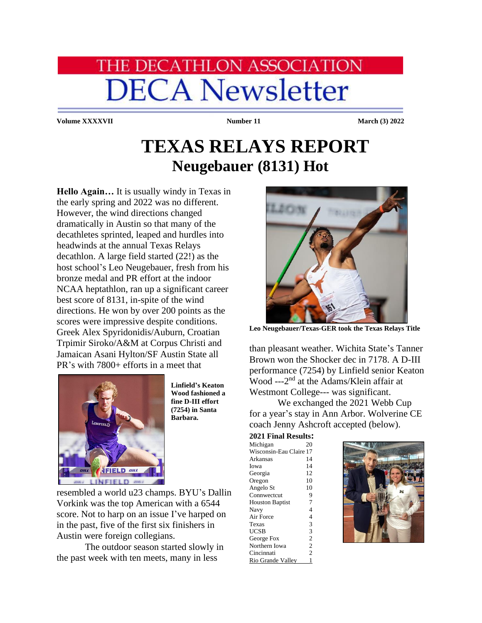## **HE DECATHLON ASSOCIATION DECA Newsletter**

**Volume XXXXVII Number 11 March (3) 2022**

## **TEXAS RELAYS REPORT Neugebauer (8131) Hot**

**Hello Again…** It is usually windy in Texas in the early spring and 2022 was no different. However, the wind directions changed dramatically in Austin so that many of the decathletes sprinted, leaped and hurdles into headwinds at the annual Texas Relays decathlon. A large field started (22!) as the host school's Leo Neugebauer, fresh from his bronze medal and PR effort at the indoor NCAA heptathlon, ran up a significant career best score of 8131, in-spite of the wind directions. He won by over 200 points as the scores were impressive despite conditions. Greek Alex Spyridonidis/Auburn, Croatian Trpimir Siroko/A&M at Corpus Christi and Jamaican Asani Hylton/SF Austin State all PR's with 7800+ efforts in a meet that



**Linfield's Keaton Wood fashioned a fine D-III effort (7254) in Santa Barbara.**

resembled a world u23 champs. BYU's Dallin Vorkink was the top American with a 6544 score. Not to harp on an issue I've harped on in the past, five of the first six finishers in Austin were foreign collegians.

The outdoor season started slowly in the past week with ten meets, many in less



**Leo Neugebauer/Texas-GER took the Texas Relays Title**

than pleasant weather. Wichita State's Tanner Brown won the Shocker dec in 7178. A D-III performance (7254) by Linfield senior Keaton Wood ---2<sup>nd</sup> at the Adams/Klein affair at Westmont College--- was significant.

We exchanged the 2021 Webb Cup for a year's stay in Ann Arbor. Wolverine CE coach Jenny Ashcroft accepted (below).

**2021 Final Results:**

| Michigan                | 20             |  |
|-------------------------|----------------|--|
| Wisconsin-Eau Claire 17 |                |  |
| Arkansas                | 14             |  |
| Iowa                    | 14             |  |
| Georgia                 | 12             |  |
| Oregon                  | 10             |  |
| Angelo St               | 10             |  |
| Connwectcut             | 9              |  |
| <b>Houston Baptist</b>  | 7              |  |
| Navy                    | 4              |  |
| Air Force               | 4              |  |
| Texas                   | 3              |  |
| UCSB                    | 3              |  |
| George Fox              | $\overline{c}$ |  |
| Northern Iowa           | $\overline{c}$ |  |
| Cincinnati              | $\overline{2}$ |  |
| Rio Grande Valley       | 1              |  |